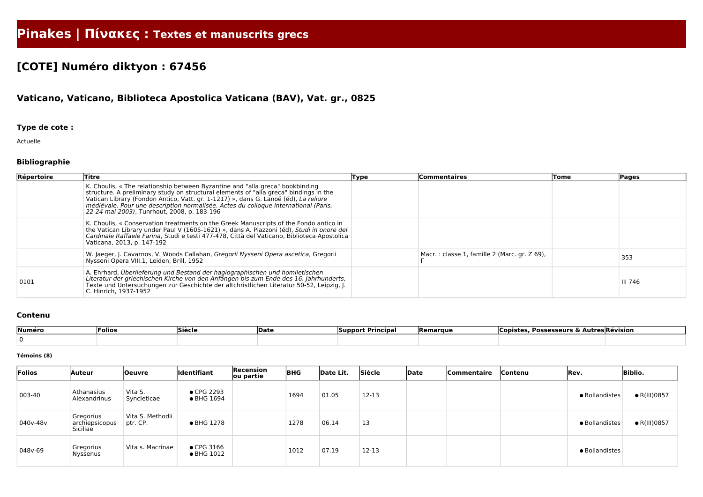# **Pinakes | Πίνακες : Textes et manuscrits grecs**

## **[COTE] Numéro diktyon : 67456**

### **Vaticano, Vaticano, Biblioteca Apostolica Vaticana (BAV), Vat. gr., 0825**

#### **Type de cote :**

Actuelle

#### **Bibliographie**

| Répertoire | Titre                                                                                                                                                                                                                                                                                                                                                                                               | Type | <b>Commentaires</b>                          | Tome | Pages   |
|------------|-----------------------------------------------------------------------------------------------------------------------------------------------------------------------------------------------------------------------------------------------------------------------------------------------------------------------------------------------------------------------------------------------------|------|----------------------------------------------|------|---------|
|            | K. Choulis, « The relationship between Byzantine and "alla greca" bookbinding<br>structure. A preliminary study on structural elements of "alla greca" bindings in the<br>Vatican Library (Fondon Antico, Vatt. gr. 1-1217) », dans G. Lanoë (éd), La reliure<br>médiévale. Pour une description normalisée. Actes du colloque international (Paris,<br>22-24 mai 2003), Tunrhout, 2008, p. 183-196 |      |                                              |      |         |
|            | K. Choulis, « Conservation treatments on the Greek Manuscripts of the Fondo antico in<br>the Vatican Library under Paul V (1605-1621) », dans A. Piazzoni (éd), Studi in onore del<br>Cardinale Raffaele Farina, Studi e testi 477-478, Città del Vaticano, Biblioteca Apostolica<br>Vaticana, 2013, p. 147-192                                                                                     |      |                                              |      |         |
|            | W. Jaeger, J. Cavarnos, V. Woods Callahan, Gregorii Nysseni Opera ascetica, Gregorii<br>Nysseni Opera VIII.1, Leiden, Brill, 1952                                                                                                                                                                                                                                                                   |      | Macr.: classe 1, famille 2 (Marc. gr. Z 69), |      | 353     |
| 0101       | A. Ehrhard, Überlieferung und Bestand der hagiographischen und homiletischen<br>Literatur der griechischen Kirche von den Anfängen bis zum Ende des 16. Jahrhunderts,<br>Texte und Untersuchungen zur Geschichte der altchristlichen Literatur 50-52, Leipzig, J.<br>C. Hinrich, 1937-1952                                                                                                          |      |                                              |      | III 746 |

#### **Contenu**

| Numéro | Folios | <b>Siècle</b> | <b>IDate</b> | Dri<br>Principa<br>Support | Remarque | <b>Possesseurs &amp;</b><br>∟opır<br>---- | \utres Révision |
|--------|--------|---------------|--------------|----------------------------|----------|-------------------------------------------|-----------------|
|        |        |               |              |                            |          |                                           |                 |

#### **Témoins (8)**

| Folios   | Auteur                                  | <b>Oeuvre</b>                | Identifiant                              | Recension<br>ou partie | <b>BHG</b> | Date Lit. | Siècle | Date | Commentaire | Contenu | Rev.           | <b>Biblio.</b>       |
|----------|-----------------------------------------|------------------------------|------------------------------------------|------------------------|------------|-----------|--------|------|-------------|---------|----------------|----------------------|
| 003-40   | Athanasius<br>Alexandrinus              | Vita S.<br>Syncleticae       | $\bullet$ CPG 2293<br>• BHG 1694         |                        | 1694       | 01.05     | 12-13  |      |             |         | • Bollandistes | $\bullet$ R(III)0857 |
| 040v-48v | Gregorius<br>archiepsicopus<br>Siciliae | Vita S. Methodii<br>ptr. CP. | • BHG 1278                               |                        | 1278       | 06.14     | 13     |      |             |         | • Bollandistes | $\bullet$ R(III)0857 |
| 048v-69  | Gregorius<br>Nyssenus                   | Vita s. Macrinae             | $\bullet$ CPG 3166<br>$\bullet$ BHG 1012 |                        | 1012       | 07.19     | 12-13  |      |             |         | · Bollandistes |                      |